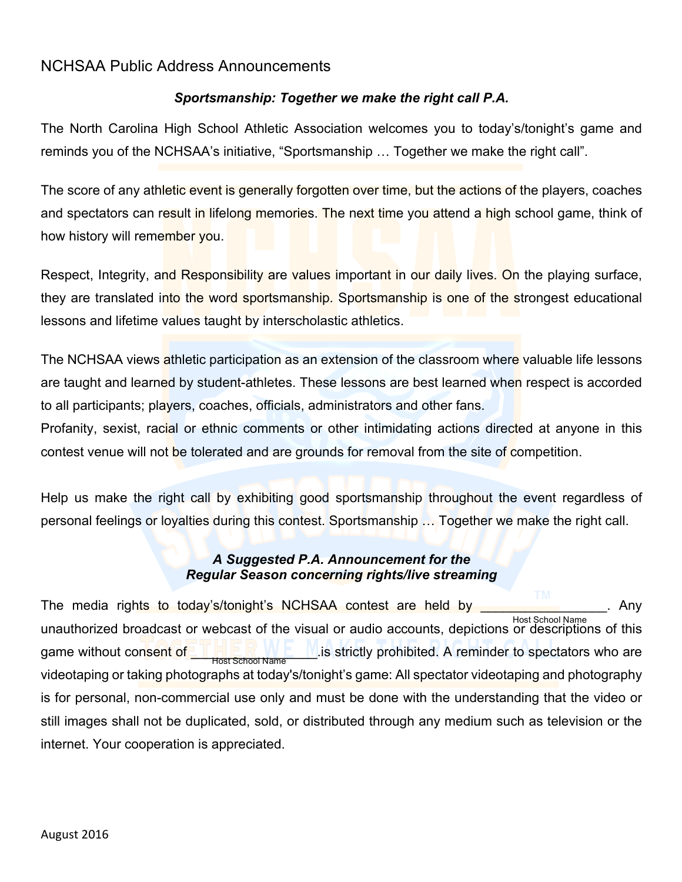# NCHSAA Public Address Announcements

## *Sportsmanship: Together we make the right call P.A.*

The North Carolina High School Athletic Association welcomes you to today's/tonight's game and reminds you of the NCHSAA's initiative, "Sportsmanship … Together we make the right call".

The score of any athletic event is generally forgotten over time, but the actions of the players, coaches and spectators can result in lifelong memories. The next time you attend a high school game, think of how history will remember you.

Respect, Integrity, and Responsibility are values important in our daily lives. On the playing surface, they are translated into the word sportsmanship. Sportsmanship is one of the strongest educational lessons and lifetime values taught by interscholastic athletics.

The NCHSAA views athletic participation as an extension of the classroom where valuable life lessons are taught and learned by student-athletes. These lessons are best learned when respect is accorded to all participants; players, coaches, officials, administrators and other fans.

Profanity, sexist, racial or ethnic comments or other intimidating actions directed at anyone in this contest venue will not be tolerated and are grounds for removal from the site of competition.

Help us make the right call by exhibiting good sportsmanship throughout the event regardless of personal feelings or loyalties during this contest. Sportsmanship … Together we make the right call.

### *A Suggested P.A. Announcement for the Regular Season concerning rights/live streaming*

The media rights to today's/tonight's NCHSAA contest are held by **with the same of the same of the same**. Any unauthorized broadcast or webcast of the visual or audio accounts, depictions or descriptions of this Host School Name game without consent of **the strictly of the light of the strictly** prohibited. A reminder to spectators who are videotaping or taking photographs at today's/tonight's game: All spectator videotaping and photography is for personal, non-commercial use only and must be done with the understanding that the video or still images shall not be duplicated, sold, or distributed through any medium such as television or the internet. Your cooperation is appreciated. Host School Name